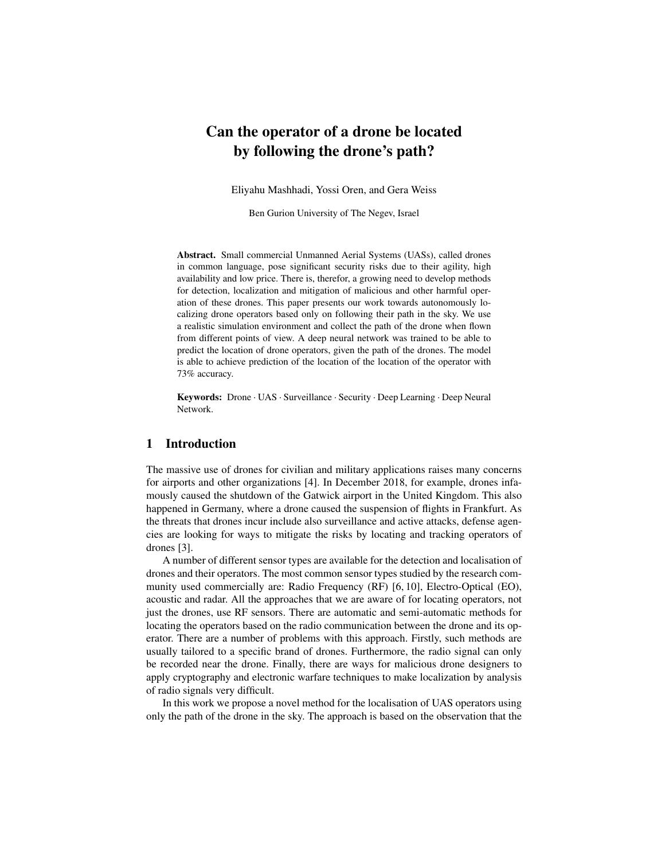# Can the operator of a drone be located by following the drone's path?

Eliyahu Mashhadi, Yossi Oren, and Gera Weiss

Ben Gurion University of The Negev, Israel

Abstract. Small commercial Unmanned Aerial Systems (UASs), called drones in common language, pose significant security risks due to their agility, high availability and low price. There is, therefor, a growing need to develop methods for detection, localization and mitigation of malicious and other harmful operation of these drones. This paper presents our work towards autonomously localizing drone operators based only on following their path in the sky. We use a realistic simulation environment and collect the path of the drone when flown from different points of view. A deep neural network was trained to be able to predict the location of drone operators, given the path of the drones. The model is able to achieve prediction of the location of the location of the operator with 73% accuracy.

Keywords: Drone · UAS · Surveillance · Security · Deep Learning · Deep Neural Network.

### 1 Introduction

The massive use of drones for civilian and military applications raises many concerns for airports and other organizations [4]. In December 2018, for example, drones infamously caused the shutdown of the Gatwick airport in the United Kingdom. This also happened in Germany, where a drone caused the suspension of flights in Frankfurt. As the threats that drones incur include also surveillance and active attacks, defense agencies are looking for ways to mitigate the risks by locating and tracking operators of drones [3].

A number of different sensor types are available for the detection and localisation of drones and their operators. The most common sensor types studied by the research community used commercially are: Radio Frequency (RF) [6, 10], Electro-Optical (EO), acoustic and radar. All the approaches that we are aware of for locating operators, not just the drones, use RF sensors. There are automatic and semi-automatic methods for locating the operators based on the radio communication between the drone and its operator. There are a number of problems with this approach. Firstly, such methods are usually tailored to a specific brand of drones. Furthermore, the radio signal can only be recorded near the drone. Finally, there are ways for malicious drone designers to apply cryptography and electronic warfare techniques to make localization by analysis of radio signals very difficult.

In this work we propose a novel method for the localisation of UAS operators using only the path of the drone in the sky. The approach is based on the observation that the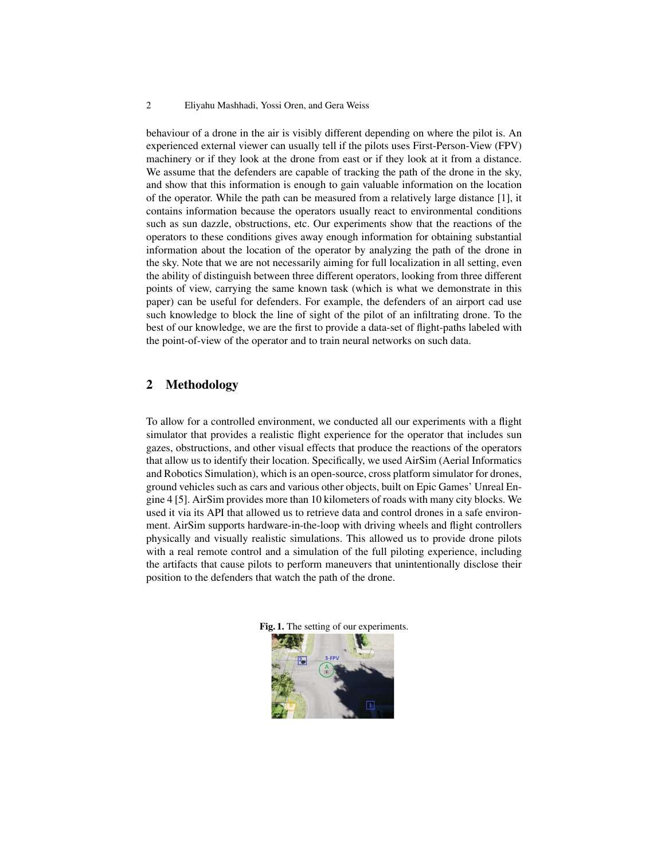#### 2 Eliyahu Mashhadi, Yossi Oren, and Gera Weiss

behaviour of a drone in the air is visibly different depending on where the pilot is. An experienced external viewer can usually tell if the pilots uses First-Person-View (FPV) machinery or if they look at the drone from east or if they look at it from a distance. We assume that the defenders are capable of tracking the path of the drone in the sky, and show that this information is enough to gain valuable information on the location of the operator. While the path can be measured from a relatively large distance [1], it contains information because the operators usually react to environmental conditions such as sun dazzle, obstructions, etc. Our experiments show that the reactions of the operators to these conditions gives away enough information for obtaining substantial information about the location of the operator by analyzing the path of the drone in the sky. Note that we are not necessarily aiming for full localization in all setting, even the ability of distinguish between three different operators, looking from three different points of view, carrying the same known task (which is what we demonstrate in this paper) can be useful for defenders. For example, the defenders of an airport cad use such knowledge to block the line of sight of the pilot of an infiltrating drone. To the best of our knowledge, we are the first to provide a data-set of flight-paths labeled with the point-of-view of the operator and to train neural networks on such data.

# 2 Methodology

To allow for a controlled environment, we conducted all our experiments with a flight simulator that provides a realistic flight experience for the operator that includes sun gazes, obstructions, and other visual effects that produce the reactions of the operators that allow us to identify their location. Specifically, we used AirSim (Aerial Informatics and Robotics Simulation), which is an open-source, cross platform simulator for drones, ground vehicles such as cars and various other objects, built on Epic Games' Unreal Engine 4 [5]. AirSim provides more than 10 kilometers of roads with many city blocks. We used it via its API that allowed us to retrieve data and control drones in a safe environment. AirSim supports hardware-in-the-loop with driving wheels and flight controllers physically and visually realistic simulations. This allowed us to provide drone pilots with a real remote control and a simulation of the full piloting experience, including the artifacts that cause pilots to perform maneuvers that unintentionally disclose their position to the defenders that watch the path of the drone.



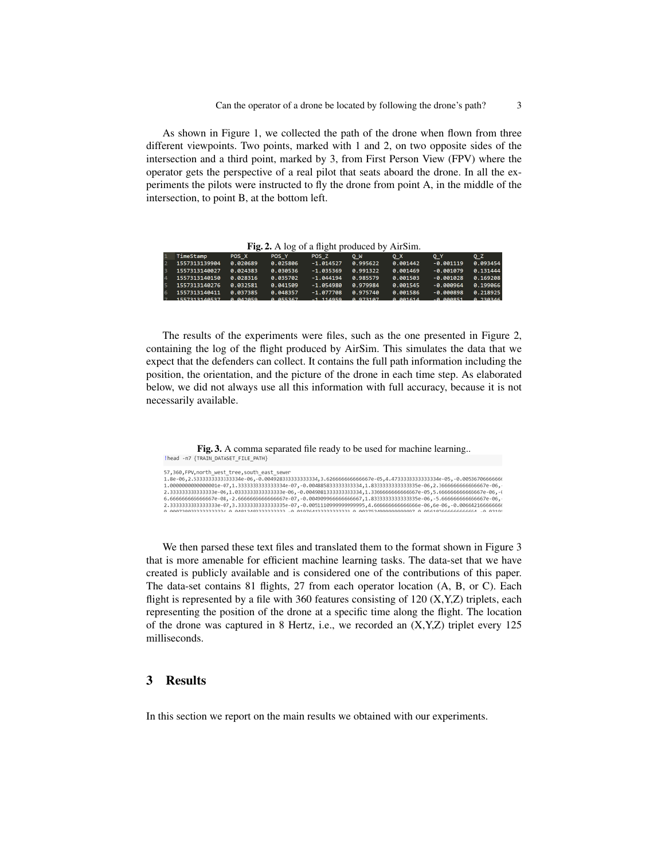As shown in Figure 1, we collected the path of the drone when flown from three different viewpoints. Two points, marked with 1 and 2, on two opposite sides of the intersection and a third point, marked by 3, from First Person View (FPV) where the operator gets the perspective of a real pilot that seats aboard the drone. In all the experiments the pilots were instructed to fly the drone from point A, in the middle of the intersection, to point B, at the bottom left.

Fig. 2. A log of a flight produced by AirSim.

| TimeStamp                  | POS X    | POS <sub>Y</sub>            | POS Z       | $O$ $W$  | o x      | O Y           | o z      |
|----------------------------|----------|-----------------------------|-------------|----------|----------|---------------|----------|
| 1557313139904              | 0.020689 | 0.025806                    | $-1.014527$ | 0.995622 | 0.001442 | $-0.001119$   | 0.093454 |
| 1557313140027              | 8.824383 | 0.030536                    | $-1.035369$ | 8.991322 | 0.001469 | $-0.001079$   | 0.131444 |
| 4 1557313140150            | 0.028316 | 0.035702                    | $-1.044194$ | 0.985579 | 0.001503 | $-0.001028$   | 8.169208 |
| 5 1557313140276            | 0.032581 | 0.041509                    | $-1.054980$ | 0.979984 | 0.001545 | $-0.000964$   | 0.199066 |
| 6 1557313140411            | 0.037385 | 0.048357                    | $-1.077708$ | 0.975740 | 0.001586 | $-0.000898$   | 0.218925 |
| $1557212140527$ $0.013050$ |          | $A$ $A$ $B$ $B$ $A$ $B$ $B$ |             |          | 0.00101  | <b>COOCCA</b> | 0.22024c |

The results of the experiments were files, such as the one presented in Figure 2, containing the log of the flight produced by AirSim. This simulates the data that we expect that the defenders can collect. It contains the full path information including the position, the orientation, and the picture of the drone in each time step. As elaborated below, we did not always use all this information with full accuracy, because it is not necessarily available.

Fig. 3. A comma separated file ready to be used for machine learning..<br>
Ihead  $\cdot$ n7 {TRAIN\_DATASET\_FILE\_PATH}

| 57,360,FPV,north west tree,south east sewer                                                                       |
|-------------------------------------------------------------------------------------------------------------------|
| 1.8e-06,2.5333333333333334e-06,-0.0049283333333334,3.62666666666667e-05,4.47333333333334e-05,-0.0053670666666     |
| 1.000000000000001e-07.1.33333333333334e-07.-0.00488583333333334.1.833333333333335e-06.2.3666666666666667e-06.     |
| 2.3333333333333339e-06.1.033333333333333e-06.-0.004908133333333334.1.3366666666666667e-05.5.66666666666667e-06.-0 |
| 66666666666666667e-08,-2,6666666666666667e-07,-0,00490996666666667,1,83333333333355e-06,-5,666666666666667e-06,   |
| 2.33333333333333339-07.3.33333333333335e-07.-0.0051110999999999995.4.66666666666666e-06.6e-06.-0.0066421666666    |
|                                                                                                                   |

We then parsed these text files and translated them to the format shown in Figure 3 that is more amenable for efficient machine learning tasks. The data-set that we have created is publicly available and is considered one of the contributions of this paper. The data-set contains 81 flights, 27 from each operator location (A, B, or C). Each flight is represented by a file with 360 features consisting of 120  $(X, Y, Z)$  triplets, each representing the position of the drone at a specific time along the flight. The location of the drone was captured in 8 Hertz, i.e., we recorded an (X,Y,Z) triplet every 125 milliseconds.

# 3 Results

In this section we report on the main results we obtained with our experiments.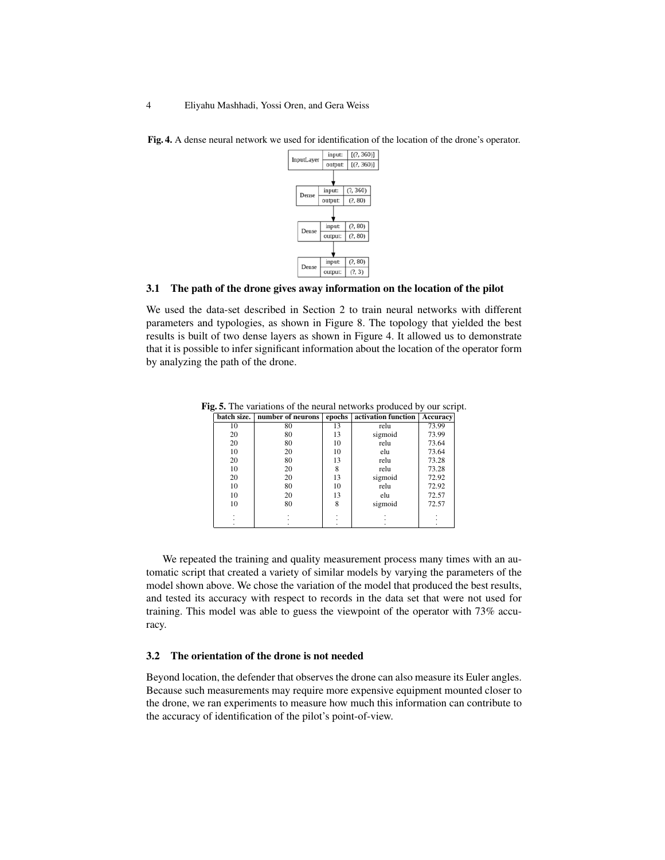

Fig. 4. A dense neural network we used for identification of the location of the drone's operator.

#### 3.1 The path of the drone gives away information on the location of the pilot

We used the data-set described in Section 2 to train neural networks with different parameters and typologies, as shown in Figure 8. The topology that yielded the best results is built of two dense layers as shown in Figure 4. It allowed us to demonstrate that it is possible to infer significant information about the location of the operator form by analyzing the path of the drone.

|    | batch size.   number of neurons |    | epochs   activation function | Accuracy |
|----|---------------------------------|----|------------------------------|----------|
| 10 | 80                              | 13 | relu                         | 73.99    |
| 20 | 80                              | 13 | sigmoid                      | 73.99    |
| 20 | 80                              | 10 | relu                         | 73.64    |
| 10 | 20                              | 10 | elu                          | 73.64    |
| 20 | 80                              | 13 | relu                         | 73.28    |
| 10 | 20                              | 8  | relu                         | 73.28    |
| 20 | 20                              | 13 | sigmoid                      | 72.92    |
| 10 | 80                              | 10 | relu                         | 72.92    |
| 10 | 20                              | 13 | elu                          | 72.57    |
| 10 | 80                              | 8  | sigmoid                      | 72.57    |
|    |                                 |    |                              |          |
|    |                                 |    |                              |          |
|    |                                 |    |                              |          |

Fig. 5. The variations of the neural networks produced by our script.

We repeated the training and quality measurement process many times with an automatic script that created a variety of similar models by varying the parameters of the model shown above. We chose the variation of the model that produced the best results, and tested its accuracy with respect to records in the data set that were not used for training. This model was able to guess the viewpoint of the operator with 73% accuracy.

#### 3.2 The orientation of the drone is not needed

Beyond location, the defender that observes the drone can also measure its Euler angles. Because such measurements may require more expensive equipment mounted closer to the drone, we ran experiments to measure how much this information can contribute to the accuracy of identification of the pilot's point-of-view.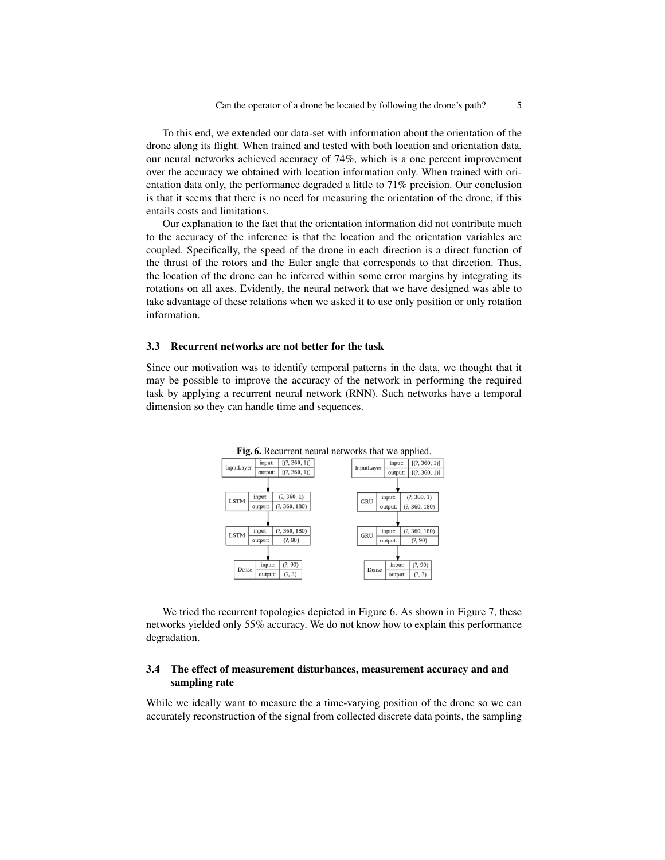To this end, we extended our data-set with information about the orientation of the drone along its flight. When trained and tested with both location and orientation data, our neural networks achieved accuracy of 74%, which is a one percent improvement over the accuracy we obtained with location information only. When trained with orientation data only, the performance degraded a little to 71% precision. Our conclusion is that it seems that there is no need for measuring the orientation of the drone, if this entails costs and limitations.

Our explanation to the fact that the orientation information did not contribute much to the accuracy of the inference is that the location and the orientation variables are coupled. Specifically, the speed of the drone in each direction is a direct function of the thrust of the rotors and the Euler angle that corresponds to that direction. Thus, the location of the drone can be inferred within some error margins by integrating its rotations on all axes. Evidently, the neural network that we have designed was able to take advantage of these relations when we asked it to use only position or only rotation information.

#### 3.3 Recurrent networks are not better for the task

Since our motivation was to identify temporal patterns in the data, we thought that it may be possible to improve the accuracy of the network in performing the required task by applying a recurrent neural network (RNN). Such networks have a temporal dimension so they can handle time and sequences.



We tried the recurrent topologies depicted in Figure 6. As shown in Figure 7, these networks yielded only 55% accuracy. We do not know how to explain this performance degradation.

### 3.4 The effect of measurement disturbances, measurement accuracy and and sampling rate

While we ideally want to measure the a time-varying position of the drone so we can accurately reconstruction of the signal from collected discrete data points, the sampling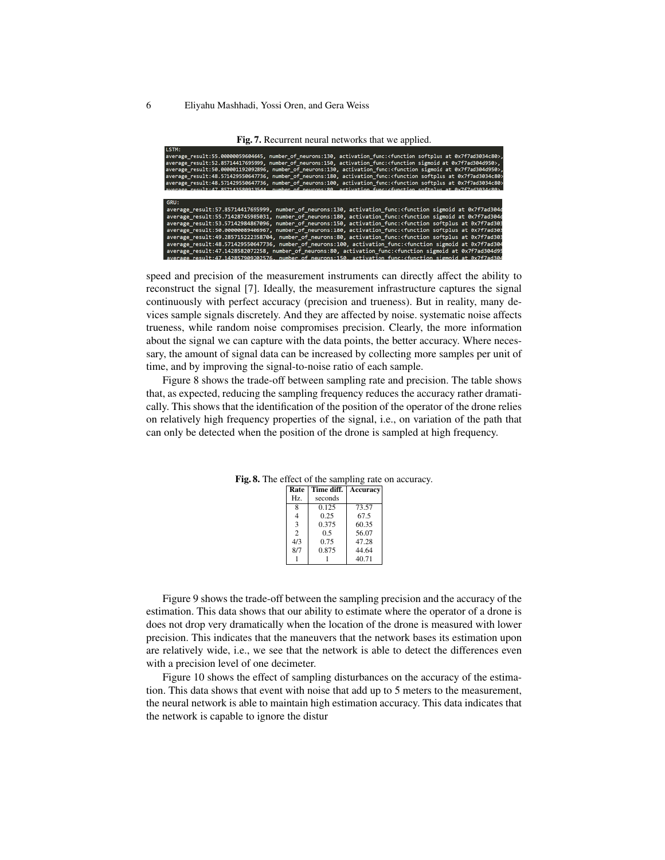#### 6 Eliyahu Mashhadi, Yossi Oren, and Gera Weiss

Fig. 7. Recurrent neural networks that we applied.

| LSTM:                                                                                                                                                  |
|--------------------------------------------------------------------------------------------------------------------------------------------------------|
| average_result:55.00000059604645, number_of_neurons:130, activation_func: <function_softplus_at_0x7f7ad3034c80>,</function_softplus_at_0x7f7ad3034c80> |
|                                                                                                                                                        |
| average result:52.85714417695999, number of neurons:150, activation func: <function 0x7f7ad304d950="" at="" sigmoid="">,</function>                    |
| average_result:50.000001192092896, number_of_neurons:130, activation_func: <function 0x7f7ad304d950="" at="" sigmoid="">,</function>                   |
| average_result:48.571429550647736, number_of_neurons:180, activation_func: <function 0x7f7ad3034c80="" at="" softplus=""></function>                   |
| average result:48.571429550647736, number of neurons:100, activation func: <function 0x7f7ad3034c80="" at="" softplus=""></function>                   |
| $_{\rm{meul}+47.857143588913544}$ number of neurons:88, activation functyfunction softnlus at 8x7f7ad3834c88\                                          |
|                                                                                                                                                        |
| GRU:                                                                                                                                                   |
| average_result:57.85714417695999, number_of_neurons:130, activation_func: <function 0x7f7ad304d<="" at="" sigmoid="" th=""></function>                 |
| average result:55.71428745985031, number of neurons:180, activation func: <function 0x7f7ad304d<="" at="" sigmoid="" th=""></function>                 |
| average result:53.57142984867096, number of neurons:150, activation func: <function 0x7f7ad303<="" at="" softplus="" th=""></function>                 |
| average result:50.00000089406967, number of neurons:180, activation func: <function 0x7f7ad303<="" at="" softplus="" th=""></function>                 |
| average result:49.285715222358704, number of neurons:80, activation func: <function 0x7f7ad303<="" at="" softplus="" th=""></function>                 |
| average result:48.571429550647736, number of neurons:100, activation func: <function 0x7f7ad304<="" at="" sigmoid="" th=""></function>                 |
| average result:47.1428582072258, number of neurons:80, activation func: <function 0x7f7ad304d95<="" at="" sigmoid="" td=""></function>                 |
| average result:47.142857909202576, number of neurons:150, activation func: <function 0x7f7ad304<="" at="" sigmoid="" td=""></function>                 |

speed and precision of the measurement instruments can directly affect the ability to reconstruct the signal [7]. Ideally, the measurement infrastructure captures the signal continuously with perfect accuracy (precision and trueness). But in reality, many devices sample signals discretely. And they are affected by noise. systematic noise affects trueness, while random noise compromises precision. Clearly, the more information about the signal we can capture with the data points, the better accuracy. Where necessary, the amount of signal data can be increased by collecting more samples per unit of time, and by improving the signal-to-noise ratio of each sample.

Figure 8 shows the trade-off between sampling rate and precision. The table shows that, as expected, reducing the sampling frequency reduces the accuracy rather dramatically. This shows that the identification of the position of the operator of the drone relies on relatively high frequency properties of the signal, i.e., on variation of the path that can only be detected when the position of the drone is sampled at high frequency.

| Rate           | Time diff. | Accuracy |
|----------------|------------|----------|
| Hz.            | seconds    |          |
|                | 0.125      | 73.57    |
|                | 0.25       | 67.5     |
| 3              | 0.375      | 60.35    |
| $\overline{c}$ | 0.5        | 56.07    |
| 4/3            | 0.75       | 47.28    |
| 8/7            | 0.875      | 44.64    |
|                |            | 40.71    |

Fig. 8. The effect of the sampling rate on accuracy.

Figure 9 shows the trade-off between the sampling precision and the accuracy of the estimation. This data shows that our ability to estimate where the operator of a drone is does not drop very dramatically when the location of the drone is measured with lower precision. This indicates that the maneuvers that the network bases its estimation upon are relatively wide, i.e., we see that the network is able to detect the differences even with a precision level of one decimeter.

Figure 10 shows the effect of sampling disturbances on the accuracy of the estimation. This data shows that event with noise that add up to 5 meters to the measurement, the neural network is able to maintain high estimation accuracy. This data indicates that the network is capable to ignore the distur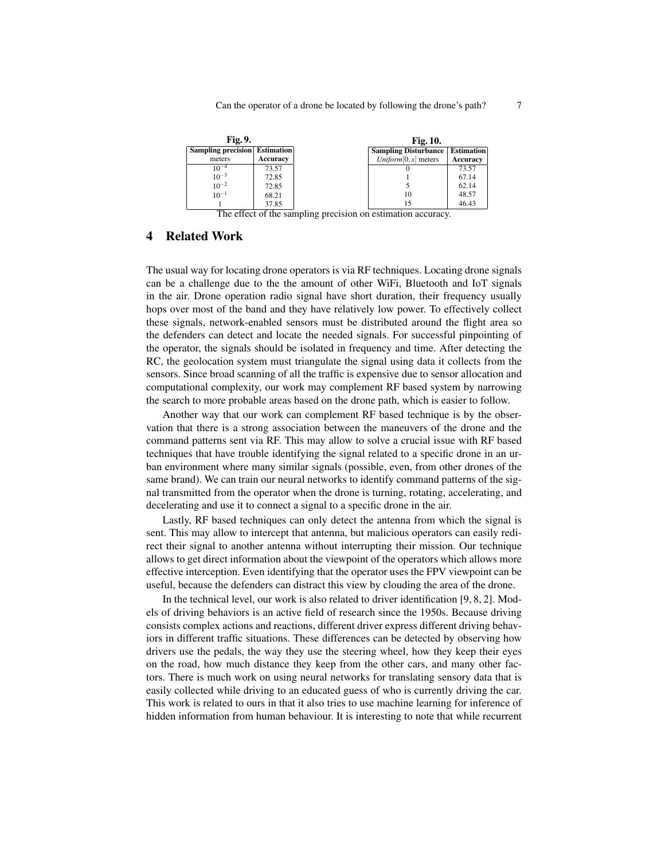| Fig. 9.                              |          | <b>Fig. 10.</b>                          |          |
|--------------------------------------|----------|------------------------------------------|----------|
| <b>Sampling precision Estimation</b> |          | <b>Sampling Disturbance   Estimation</b> |          |
| meters                               | Accuracy | Uniform $[0, x]$ meters                  | Accuracy |
| $10^{-4}$                            | 73.57    |                                          | 73.57    |
| $10^{-3}$                            | 72.85    |                                          | 67.14    |
| $10^{-2}$                            | 72.85    |                                          | 62.14    |
| $10^{-1}$                            | 68.21    | 10                                       | 48.57    |
|                                      | 37.85    | 15                                       | 46.43    |

The effect of the sampling precision on estimation accuracy.

## 4 Related Work

The usual way for locating drone operators is via RF techniques. Locating drone signals can be a challenge due to the the amount of other WiFi, Bluetooth and IoT signals in the air. Drone operation radio signal have short duration, their frequency usually hops over most of the band and they have relatively low power. To effectively collect these signals, network-enabled sensors must be distributed around the flight area so the defenders can detect and locate the needed signals. For successful pinpointing of the operator, the signals should be isolated in frequency and time. After detecting the RC, the geolocation system must triangulate the signal using data it collects from the sensors. Since broad scanning of all the traffic is expensive due to sensor allocation and computational complexity, our work may complement RF based system by narrowing the search to more probable areas based on the drone path, which is easier to follow.

Another way that our work can complement RF based technique is by the observation that there is a strong association between the maneuvers of the drone and the command patterns sent via RF. This may allow to solve a crucial issue with RF based techniques that have trouble identifying the signal related to a specific drone in an urban environment where many similar signals (possible, even, from other drones of the same brand). We can train our neural networks to identify command patterns of the signal transmitted from the operator when the drone is turning, rotating, accelerating, and decelerating and use it to connect a signal to a specific drone in the air.

Lastly, RF based techniques can only detect the antenna from which the signal is sent. This may allow to intercept that antenna, but malicious operators can easily redirect their signal to another antenna without interrupting their mission. Our technique allows to get direct information about the viewpoint of the operators which allows more effective interception. Even identifying that the operator uses the FPV viewpoint can be useful, because the defenders can distract this view by clouding the area of the drone.

In the technical level, our work is also related to driver identification [9, 8, 2]. Models of driving behaviors is an active field of research since the 1950s. Because driving consists complex actions and reactions, different driver express different driving behaviors in different traffic situations. These differences can be detected by observing how drivers use the pedals, the way they use the steering wheel, how they keep their eyes on the road, how much distance they keep from the other cars, and many other factors. There is much work on using neural networks for translating sensory data that is easily collected while driving to an educated guess of who is currently driving the car. This work is related to ours in that it also tries to use machine learning for inference of hidden information from human behaviour. It is interesting to note that while recurrent